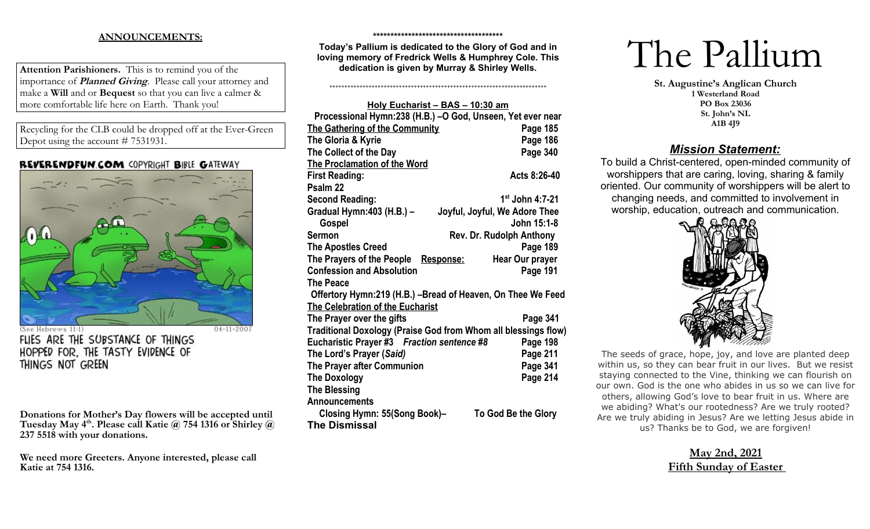# **ANNOUNCEMENTS:**

**Attention Parishioners.** This is to remind you of the importance of **Planned Giving**. Please call your attorney and make a **Will** and or **Bequest** so that you can live a calmer & more comfortable life here on Earth. Thank you!

Recycling for the CLB could be dropped off at the Ever-Green Depot using the account # 7531931.

## **REVERENDFUN.COM COPYRIGHT BIBLE GATEWAY**



ebrews 11:1 FLIES ARE THE SUBSTANCE OF THINGS HOPPED FOR. THE TASTY EVIDENCE OF THINGS NOT GREEN

**Donations for Mother's Day flowers will be accepted until Tuesday May 4th. Please call Katie @ 754 1316 or Shirley @ 237 5518 with your donations.**

**We need more Greeters. Anyone interested, please call Katie at 754 1316.** 

#### **\*\*\*\*\*\*\*\*\*\*\*\*\*\*\*\*\*\*\*\*\*\*\*\*\*\*\*\*\*\*\*\*\*\*\*\*\***

**Today's Pallium is dedicated to the Glory of God and in loving memory of Fredrick Wells & Humphrey Cole. This dedication is given by Murray & Shirley Wells.** 

++++++++++++++++++++++++++++++++++++++++++++++++++++++++++++++++++++++++

| Holy Eucharist - BAS - 10:30 am                                |                                 |  |  |
|----------------------------------------------------------------|---------------------------------|--|--|
| Processional Hymn:238 (H.B.) -O God, Unseen, Yet ever near     |                                 |  |  |
| The Gathering of the Community                                 | Page 185                        |  |  |
| The Gloria & Kyrie                                             | Page 186                        |  |  |
| The Collect of the Day                                         | Page 340                        |  |  |
| <b>The Proclamation of the Word</b>                            |                                 |  |  |
| <b>First Reading:</b>                                          | Acts 8:26-40                    |  |  |
| Psalm 22                                                       |                                 |  |  |
| <b>Second Reading:</b>                                         | 1 <sup>st</sup> John 4:7-21     |  |  |
| Gradual Hymn: 403 (H.B.) -                                     | Joyful, Joyful, We Adore Thee   |  |  |
| Gospel                                                         | John 15:1-8                     |  |  |
| <b>Sermon</b>                                                  | <b>Rev. Dr. Rudolph Anthony</b> |  |  |
| <b>The Apostles Creed</b>                                      | Page 189                        |  |  |
| The Prayers of the People<br>Response:                         | <b>Hear Our prayer</b>          |  |  |
| <b>Confession and Absolution</b>                               | Page 191                        |  |  |
| <b>The Peace</b>                                               |                                 |  |  |
| Offertory Hymn:219 (H.B.) -Bread of Heaven, On Thee We Feed    |                                 |  |  |
| The Celebration of the Eucharist                               |                                 |  |  |
| The Prayer over the gifts                                      | Page 341                        |  |  |
| Traditional Doxology (Praise God from Whom all blessings flow) |                                 |  |  |
| Eucharistic Prayer #3 Fraction sentence #8<br>Page 198         |                                 |  |  |
| The Lord's Prayer (Said)                                       | Page 211                        |  |  |
| The Prayer after Communion                                     | Page 341                        |  |  |
| <b>The Doxology</b>                                            | Page 214                        |  |  |
| <b>The Blessing</b>                                            |                                 |  |  |
| Announcements                                                  |                                 |  |  |
| Closing Hymn: 55(Song Book)-                                   | To God Be the Glory             |  |  |
| <b>The Dismissal</b>                                           |                                 |  |  |

# The Pallium

**St. Augustine's Anglican Church 1 Westerland Road PO Box 23036 St. John's NL A1B 4J9**

# *Mission Statement:*

To build a Christ-centered, open-minded community of worshippers that are caring, loving, sharing & family oriented. Our community of worshippers will be alert to changing needs, and committed to involvement in worship, education, outreach and communication.



The seeds of grace, hope, joy, and love are planted deep within us, so they can bear fruit in our lives. But we resist staying connected to the Vine, thinking we can flourish on our own. God is the one who abides in us so we can live for others, allowing God's love to bear fruit in us. Where are we abiding? What's our rootedness? Are we truly rooted? Are we truly abiding in Jesus? Are we letting Jesus abide in us? Thanks be to God, we are forgiven!